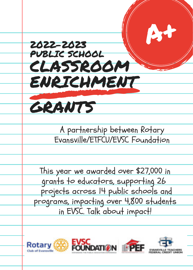